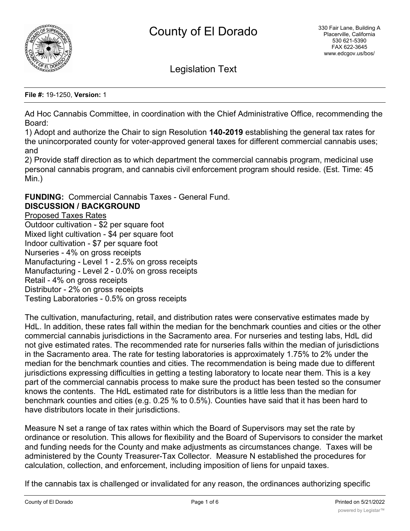

Legislation Text

**File #:** 19-1250, **Version:** 1

Ad Hoc Cannabis Committee, in coordination with the Chief Administrative Office, recommending the Board:

1) Adopt and authorize the Chair to sign Resolution **140-2019** establishing the general tax rates for the unincorporated county for voter-approved general taxes for different commercial cannabis uses; and

2) Provide staff direction as to which department the commercial cannabis program, medicinal use personal cannabis program, and cannabis civil enforcement program should reside. (Est. Time: 45 Min.)

**FUNDING:** Commercial Cannabis Taxes - General Fund. **DISCUSSION / BACKGROUND**

Proposed Taxes Rates Outdoor cultivation - \$2 per square foot

Mixed light cultivation - \$4 per square foot Indoor cultivation - \$7 per square foot Nurseries - 4% on gross receipts Manufacturing - Level 1 - 2.5% on gross receipts Manufacturing - Level 2 - 0.0% on gross receipts Retail - 4% on gross receipts Distributor - 2% on gross receipts Testing Laboratories - 0.5% on gross receipts

The cultivation, manufacturing, retail, and distribution rates were conservative estimates made by HdL. In addition, these rates fall within the median for the benchmark counties and cities or the other commercial cannabis jurisdictions in the Sacramento area. For nurseries and testing labs, HdL did not give estimated rates. The recommended rate for nurseries falls within the median of jurisdictions in the Sacramento area. The rate for testing laboratories is approximately 1.75% to 2% under the median for the benchmark counties and cities. The recommendation is being made due to different jurisdictions expressing difficulties in getting a testing laboratory to locate near them. This is a key part of the commercial cannabis process to make sure the product has been tested so the consumer knows the contents. The HdL estimated rate for distributors is a little less than the median for benchmark counties and cities (e.g. 0.25 % to 0.5%). Counties have said that it has been hard to have distributors locate in their jurisdictions.

Measure N set a range of tax rates within which the Board of Supervisors may set the rate by ordinance or resolution. This allows for flexibility and the Board of Supervisors to consider the market and funding needs for the County and make adjustments as circumstances change. Taxes will be administered by the County Treasurer-Tax Collector. Measure N established the procedures for calculation, collection, and enforcement, including imposition of liens for unpaid taxes.

If the cannabis tax is challenged or invalidated for any reason, the ordinances authorizing specific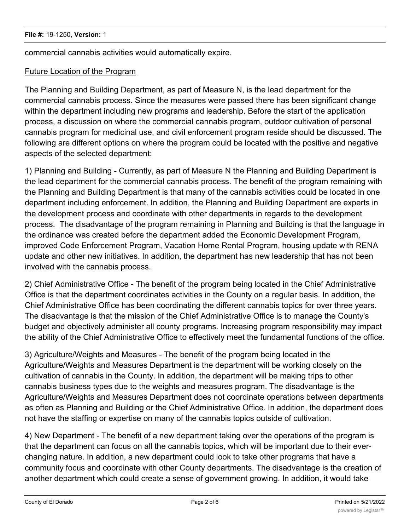commercial cannabis activities would automatically expire.

### Future Location of the Program

The Planning and Building Department, as part of Measure N, is the lead department for the commercial cannabis process. Since the measures were passed there has been significant change within the department including new programs and leadership. Before the start of the application process, a discussion on where the commercial cannabis program, outdoor cultivation of personal cannabis program for medicinal use, and civil enforcement program reside should be discussed. The following are different options on where the program could be located with the positive and negative aspects of the selected department:

1) Planning and Building - Currently, as part of Measure N the Planning and Building Department is the lead department for the commercial cannabis process. The benefit of the program remaining with the Planning and Building Department is that many of the cannabis activities could be located in one department including enforcement. In addition, the Planning and Building Department are experts in the development process and coordinate with other departments in regards to the development process. The disadvantage of the program remaining in Planning and Building is that the language in the ordinance was created before the department added the Economic Development Program, improved Code Enforcement Program, Vacation Home Rental Program, housing update with RENA update and other new initiatives. In addition, the department has new leadership that has not been involved with the cannabis process.

2) Chief Administrative Office - The benefit of the program being located in the Chief Administrative Office is that the department coordinates activities in the County on a regular basis. In addition, the Chief Administrative Office has been coordinating the different cannabis topics for over three years. The disadvantage is that the mission of the Chief Administrative Office is to manage the County's budget and objectively administer all county programs. Increasing program responsibility may impact the ability of the Chief Administrative Office to effectively meet the fundamental functions of the office.

3) Agriculture/Weights and Measures - The benefit of the program being located in the Agriculture/Weights and Measures Department is the department will be working closely on the cultivation of cannabis in the County. In addition, the department will be making trips to other cannabis business types due to the weights and measures program. The disadvantage is the Agriculture/Weights and Measures Department does not coordinate operations between departments as often as Planning and Building or the Chief Administrative Office. In addition, the department does not have the staffing or expertise on many of the cannabis topics outside of cultivation.

4) New Department - The benefit of a new department taking over the operations of the program is that the department can focus on all the cannabis topics, which will be important due to their everchanging nature. In addition, a new department could look to take other programs that have a community focus and coordinate with other County departments. The disadvantage is the creation of another department which could create a sense of government growing. In addition, it would take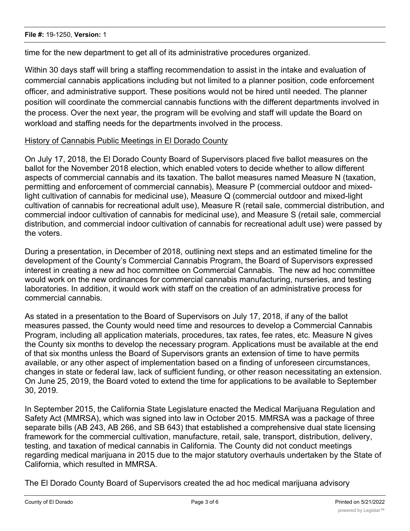time for the new department to get all of its administrative procedures organized.

Within 30 days staff will bring a staffing recommendation to assist in the intake and evaluation of commercial cannabis applications including but not limited to a planner position, code enforcement officer, and administrative support. These positions would not be hired until needed. The planner position will coordinate the commercial cannabis functions with the different departments involved in the process. Over the next year, the program will be evolving and staff will update the Board on workload and staffing needs for the departments involved in the process.

## History of Cannabis Public Meetings in El Dorado County

On July 17, 2018, the El Dorado County Board of Supervisors placed five ballot measures on the ballot for the November 2018 election, which enabled voters to decide whether to allow different aspects of commercial cannabis and its taxation. The ballot measures named Measure N (taxation, permitting and enforcement of commercial cannabis), Measure P (commercial outdoor and mixedlight cultivation of cannabis for medicinal use), Measure Q (commercial outdoor and mixed-light cultivation of cannabis for recreational adult use), Measure R (retail sale, commercial distribution, and commercial indoor cultivation of cannabis for medicinal use), and Measure S (retail sale, commercial distribution, and commercial indoor cultivation of cannabis for recreational adult use) were passed by the voters.

During a presentation, in December of 2018, outlining next steps and an estimated timeline for the development of the County's Commercial Cannabis Program, the Board of Supervisors expressed interest in creating a new ad hoc committee on Commercial Cannabis. The new ad hoc committee would work on the new ordinances for commercial cannabis manufacturing, nurseries, and testing laboratories. In addition, it would work with staff on the creation of an administrative process for commercial cannabis.

As stated in a presentation to the Board of Supervisors on July 17, 2018, if any of the ballot measures passed, the County would need time and resources to develop a Commercial Cannabis Program, including all application materials, procedures, tax rates, fee rates, etc. Measure N gives the County six months to develop the necessary program. Applications must be available at the end of that six months unless the Board of Supervisors grants an extension of time to have permits available, or any other aspect of implementation based on a finding of unforeseen circumstances, changes in state or federal law, lack of sufficient funding, or other reason necessitating an extension. On June 25, 2019, the Board voted to extend the time for applications to be available to September 30, 2019.

In September 2015, the California State Legislature enacted the Medical Marijuana Regulation and Safety Act (MMRSA), which was signed into law in October 2015. MMRSA was a package of three separate bills (AB 243, AB 266, and SB 643) that established a comprehensive dual state licensing framework for the commercial cultivation, manufacture, retail, sale, transport, distribution, delivery, testing, and taxation of medical cannabis in California. The County did not conduct meetings regarding medical marijuana in 2015 due to the major statutory overhauls undertaken by the State of California, which resulted in MMRSA.

The El Dorado County Board of Supervisors created the ad hoc medical marijuana advisory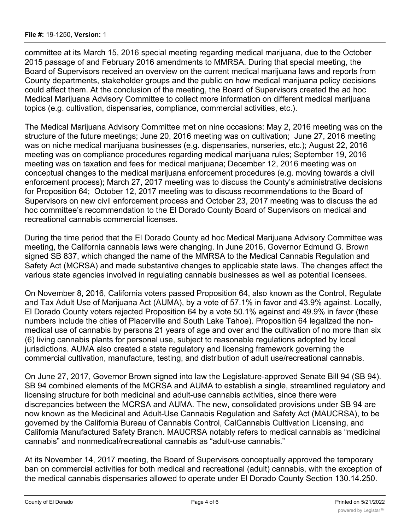#### **File #:** 19-1250, **Version:** 1

committee at its March 15, 2016 special meeting regarding medical marijuana, due to the October 2015 passage of and February 2016 amendments to MMRSA. During that special meeting, the Board of Supervisors received an overview on the current medical marijuana laws and reports from County departments, stakeholder groups and the public on how medical marijuana policy decisions could affect them. At the conclusion of the meeting, the Board of Supervisors created the ad hoc Medical Marijuana Advisory Committee to collect more information on different medical marijuana topics (e.g. cultivation, dispensaries, compliance, commercial activities, etc.).

The Medical Marijuana Advisory Committee met on nine occasions: May 2, 2016 meeting was on the structure of the future meetings; June 20, 2016 meeting was on cultivation; June 27, 2016 meeting was on niche medical marijuana businesses (e.g. dispensaries, nurseries, etc.); August 22, 2016 meeting was on compliance procedures regarding medical marijuana rules; September 19, 2016 meeting was on taxation and fees for medical marijuana; December 12, 2016 meeting was on conceptual changes to the medical marijuana enforcement procedures (e.g. moving towards a civil enforcement process); March 27, 2017 meeting was to discuss the County's administrative decisions for Proposition 64; October 12, 2017 meeting was to discuss recommendations to the Board of Supervisors on new civil enforcement process and October 23, 2017 meeting was to discuss the ad hoc committee's recommendation to the El Dorado County Board of Supervisors on medical and recreational cannabis commercial licenses.

During the time period that the El Dorado County ad hoc Medical Marijuana Advisory Committee was meeting, the California cannabis laws were changing. In June 2016, Governor Edmund G. Brown signed SB 837, which changed the name of the MMRSA to the Medical Cannabis Regulation and Safety Act (MCRSA) and made substantive changes to applicable state laws. The changes affect the various state agencies involved in regulating cannabis businesses as well as potential licensees.

On November 8, 2016, California voters passed Proposition 64, also known as the Control, Regulate and Tax Adult Use of Marijuana Act (AUMA), by a vote of 57.1% in favor and 43.9% against. Locally, El Dorado County voters rejected Proposition 64 by a vote 50.1% against and 49.9% in favor (these numbers include the cities of Placerville and South Lake Tahoe). Proposition 64 legalized the nonmedical use of cannabis by persons 21 years of age and over and the cultivation of no more than six (6) living cannabis plants for personal use, subject to reasonable regulations adopted by local jurisdictions. AUMA also created a state regulatory and licensing framework governing the commercial cultivation, manufacture, testing, and distribution of adult use/recreational cannabis.

On June 27, 2017, Governor Brown signed into law the Legislature-approved Senate Bill 94 (SB 94). SB 94 combined elements of the MCRSA and AUMA to establish a single, streamlined regulatory and licensing structure for both medicinal and adult-use cannabis activities, since there were discrepancies between the MCRSA and AUMA. The new, consolidated provisions under SB 94 are now known as the Medicinal and Adult-Use Cannabis Regulation and Safety Act (MAUCRSA), to be governed by the California Bureau of Cannabis Control, CalCannabis Cultivation Licensing, and California Manufactured Safety Branch. MAUCRSA notably refers to medical cannabis as "medicinal cannabis" and nonmedical/recreational cannabis as "adult-use cannabis."

At its November 14, 2017 meeting, the Board of Supervisors conceptually approved the temporary ban on commercial activities for both medical and recreational (adult) cannabis, with the exception of the medical cannabis dispensaries allowed to operate under El Dorado County Section 130.14.250.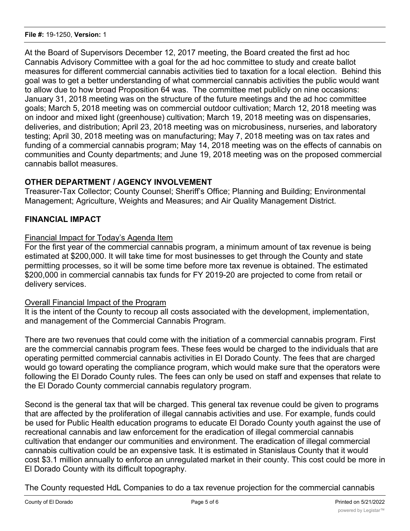At the Board of Supervisors December 12, 2017 meeting, the Board created the first ad hoc Cannabis Advisory Committee with a goal for the ad hoc committee to study and create ballot measures for different commercial cannabis activities tied to taxation for a local election. Behind this goal was to get a better understanding of what commercial cannabis activities the public would want to allow due to how broad Proposition 64 was. The committee met publicly on nine occasions: January 31, 2018 meeting was on the structure of the future meetings and the ad hoc committee goals; March 5, 2018 meeting was on commercial outdoor cultivation; March 12, 2018 meeting was on indoor and mixed light (greenhouse) cultivation; March 19, 2018 meeting was on dispensaries, deliveries, and distribution; April 23, 2018 meeting was on microbusiness, nurseries, and laboratory testing; April 30, 2018 meeting was on manufacturing; May 7, 2018 meeting was on tax rates and funding of a commercial cannabis program; May 14, 2018 meeting was on the effects of cannabis on communities and County departments; and June 19, 2018 meeting was on the proposed commercial cannabis ballot measures.

# **OTHER DEPARTMENT / AGENCY INVOLVEMENT**

Treasurer-Tax Collector; County Counsel; Sheriff's Office; Planning and Building; Environmental Management; Agriculture, Weights and Measures; and Air Quality Management District.

## **FINANCIAL IMPACT**

### Financial Impact for Today's Agenda Item

For the first year of the commercial cannabis program, a minimum amount of tax revenue is being estimated at \$200,000. It will take time for most businesses to get through the County and state permitting processes, so it will be some time before more tax revenue is obtained. The estimated \$200,000 in commercial cannabis tax funds for FY 2019-20 are projected to come from retail or delivery services.

#### Overall Financial Impact of the Program

It is the intent of the County to recoup all costs associated with the development, implementation, and management of the Commercial Cannabis Program.

There are two revenues that could come with the initiation of a commercial cannabis program. First are the commercial cannabis program fees. These fees would be charged to the individuals that are operating permitted commercial cannabis activities in El Dorado County. The fees that are charged would go toward operating the compliance program, which would make sure that the operators were following the El Dorado County rules. The fees can only be used on staff and expenses that relate to the El Dorado County commercial cannabis regulatory program.

Second is the general tax that will be charged. This general tax revenue could be given to programs that are affected by the proliferation of illegal cannabis activities and use. For example, funds could be used for Public Health education programs to educate El Dorado County youth against the use of recreational cannabis and law enforcement for the eradication of illegal commercial cannabis cultivation that endanger our communities and environment. The eradication of illegal commercial cannabis cultivation could be an expensive task. It is estimated in Stanislaus County that it would cost \$3.1 million annually to enforce an unregulated market in their county. This cost could be more in El Dorado County with its difficult topography.

The County requested HdL Companies to do a tax revenue projection for the commercial cannabis